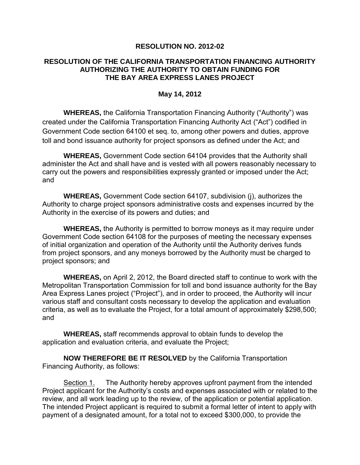## **RESOLUTION NO. 2012-02**

## **RESOLUTION OF THE CALIFORNIA TRANSPORTATION FINANCING AUTHORITY AUTHORIZING THE AUTHORITY TO OBTAIN FUNDING FOR THE BAY AREA EXPRESS LANES PROJECT**

## **May 14, 2012**

**WHEREAS,** the California Transportation Financing Authority ("Authority") was created under the California Transportation Financing Authority Act ("Act") codified in Government Code section 64100 et seq. to, among other powers and duties, approve toll and bond issuance authority for project sponsors as defined under the Act; and

**WHEREAS,** Government Code section 64104 provides that the Authority shall administer the Act and shall have and is vested with all powers reasonably necessary to carry out the powers and responsibilities expressly granted or imposed under the Act; and

**WHEREAS,** Government Code section 64107, subdivision (j), authorizes the Authority to charge project sponsors administrative costs and expenses incurred by the Authority in the exercise of its powers and duties; and

**WHEREAS,** the Authority is permitted to borrow moneys as it may require under Government Code section 64108 for the purposes of meeting the necessary expenses of initial organization and operation of the Authority until the Authority derives funds from project sponsors, and any moneys borrowed by the Authority must be charged to project sponsors; and

**WHEREAS,** on April 2, 2012, the Board directed staff to continue to work with the Metropolitan Transportation Commission for toll and bond issuance authority for the Bay Area Express Lanes project ("Project"), and in order to proceed, the Authority will incur various staff and consultant costs necessary to develop the application and evaluation criteria, as well as to evaluate the Project, for a total amount of approximately \$298,500; and

**WHEREAS,** staff recommends approval to obtain funds to develop the application and evaluation criteria, and evaluate the Project;

**NOW THEREFORE BE IT RESOLVED** by the California Transportation Financing Authority, as follows:

Section 1. The Authority hereby approves upfront payment from the intended Project applicant for the Authority's costs and expenses associated with or related to the review, and all work leading up to the review, of the application or potential application. The intended Project applicant is required to submit a formal letter of intent to apply with payment of a designated amount, for a total not to exceed \$300,000, to provide the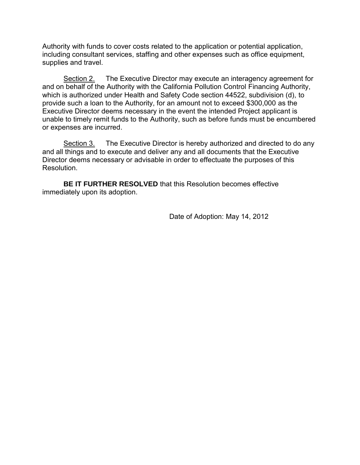Authority with funds to cover costs related to the application or potential application, including consultant services, staffing and other expenses such as office equipment, supplies and travel.

Section 2. The Executive Director may execute an interagency agreement for and on behalf of the Authority with the California Pollution Control Financing Authority, which is authorized under Health and Safety Code section 44522, subdivision (d), to provide such a loan to the Authority, for an amount not to exceed \$300,000 as the Executive Director deems necessary in the event the intended Project applicant is unable to timely remit funds to the Authority, such as before funds must be encumbered or expenses are incurred.

Section 3. The Executive Director is hereby authorized and directed to do any and all things and to execute and deliver any and all documents that the Executive Director deems necessary or advisable in order to effectuate the purposes of this Resolution.

**BE IT FURTHER RESOLVED** that this Resolution becomes effective immediately upon its adoption.

Date of Adoption: May 14, 2012